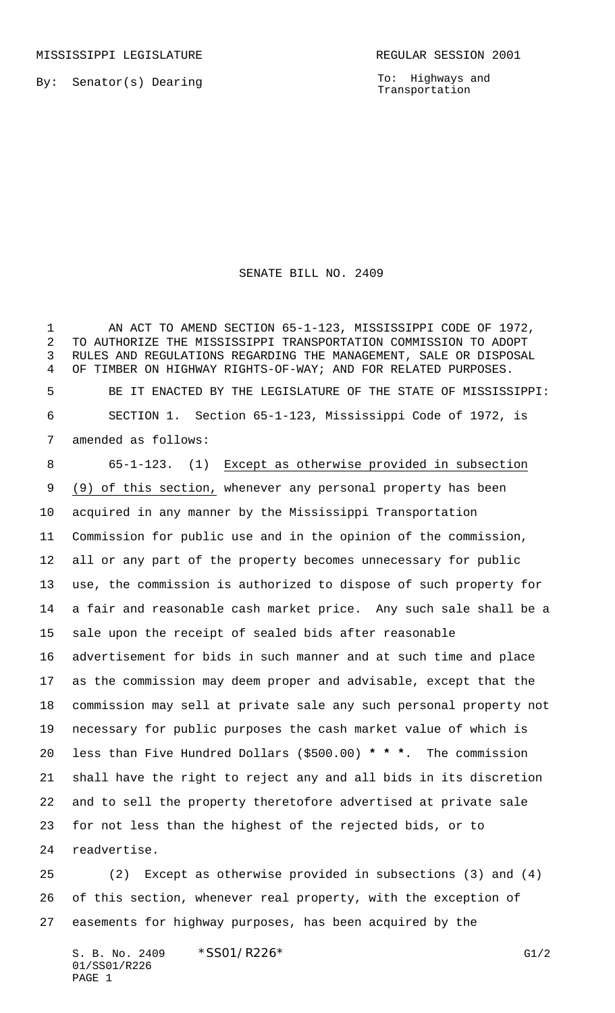MISSISSIPPI LEGISLATURE **REGULAR SESSION 2001** 

By: Senator(s) Dearing

To: Highways and Transportation

SENATE BILL NO. 2409

1 AN ACT TO AMEND SECTION 65-1-123, MISSISSIPPI CODE OF 1972, TO AUTHORIZE THE MISSISSIPPI TRANSPORTATION COMMISSION TO ADOPT RULES AND REGULATIONS REGARDING THE MANAGEMENT, SALE OR DISPOSAL OF TIMBER ON HIGHWAY RIGHTS-OF-WAY; AND FOR RELATED PURPOSES. BE IT ENACTED BY THE LEGISLATURE OF THE STATE OF MISSISSIPPI: SECTION 1. Section 65-1-123, Mississippi Code of 1972, is amended as follows:

 65-1-123. (1) Except as otherwise provided in subsection (9) of this section, whenever any personal property has been acquired in any manner by the Mississippi Transportation Commission for public use and in the opinion of the commission, all or any part of the property becomes unnecessary for public use, the commission is authorized to dispose of such property for a fair and reasonable cash market price. Any such sale shall be a sale upon the receipt of sealed bids after reasonable advertisement for bids in such manner and at such time and place as the commission may deem proper and advisable, except that the commission may sell at private sale any such personal property not necessary for public purposes the cash market value of which is less than Five Hundred Dollars (\$500.00) **\* \* \***. The commission shall have the right to reject any and all bids in its discretion and to sell the property theretofore advertised at private sale for not less than the highest of the rejected bids, or to readvertise.

 (2) Except as otherwise provided in subsections (3) and (4) of this section, whenever real property, with the exception of easements for highway purposes, has been acquired by the

S. B. No. 2409 \* SSO1/R226\* G1/2 01/SS01/R226 PAGE 1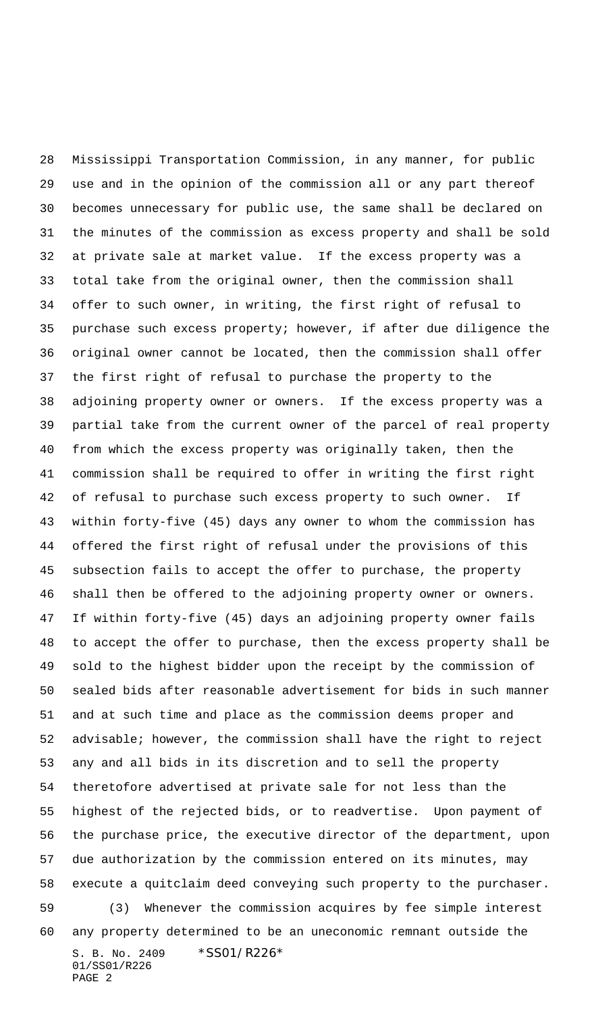S. B. No. 2409 \* SS01/R226\* 01/SS01/R226 PAGE 2 Mississippi Transportation Commission, in any manner, for public use and in the opinion of the commission all or any part thereof becomes unnecessary for public use, the same shall be declared on the minutes of the commission as excess property and shall be sold at private sale at market value. If the excess property was a total take from the original owner, then the commission shall offer to such owner, in writing, the first right of refusal to purchase such excess property; however, if after due diligence the original owner cannot be located, then the commission shall offer the first right of refusal to purchase the property to the adjoining property owner or owners. If the excess property was a partial take from the current owner of the parcel of real property from which the excess property was originally taken, then the commission shall be required to offer in writing the first right of refusal to purchase such excess property to such owner. If within forty-five (45) days any owner to whom the commission has offered the first right of refusal under the provisions of this subsection fails to accept the offer to purchase, the property shall then be offered to the adjoining property owner or owners. If within forty-five (45) days an adjoining property owner fails to accept the offer to purchase, then the excess property shall be sold to the highest bidder upon the receipt by the commission of sealed bids after reasonable advertisement for bids in such manner and at such time and place as the commission deems proper and advisable; however, the commission shall have the right to reject any and all bids in its discretion and to sell the property theretofore advertised at private sale for not less than the highest of the rejected bids, or to readvertise. Upon payment of the purchase price, the executive director of the department, upon due authorization by the commission entered on its minutes, may execute a quitclaim deed conveying such property to the purchaser. (3) Whenever the commission acquires by fee simple interest any property determined to be an uneconomic remnant outside the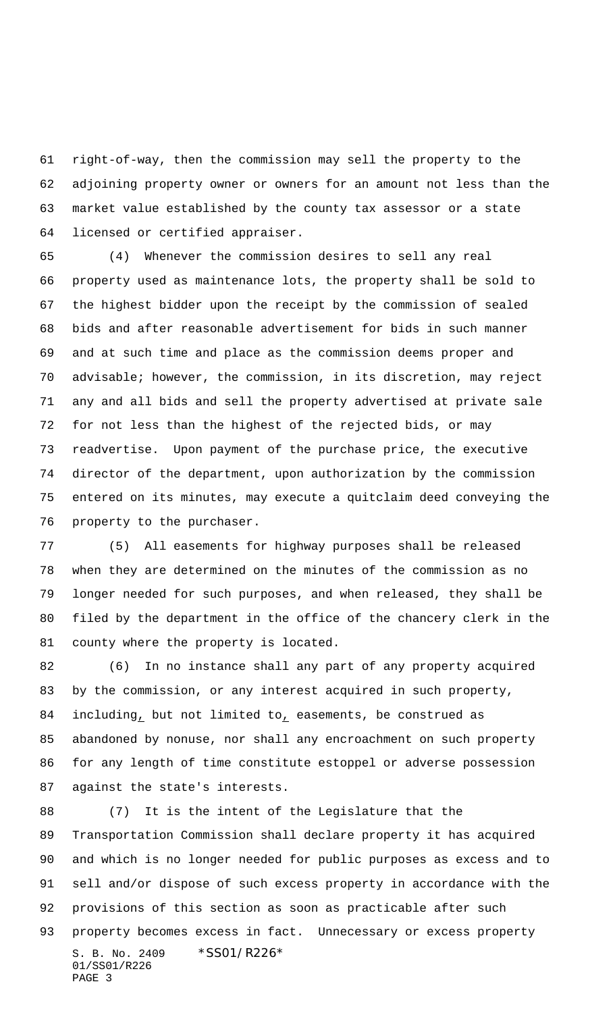right-of-way, then the commission may sell the property to the adjoining property owner or owners for an amount not less than the market value established by the county tax assessor or a state licensed or certified appraiser.

 (4) Whenever the commission desires to sell any real property used as maintenance lots, the property shall be sold to the highest bidder upon the receipt by the commission of sealed bids and after reasonable advertisement for bids in such manner and at such time and place as the commission deems proper and advisable; however, the commission, in its discretion, may reject any and all bids and sell the property advertised at private sale for not less than the highest of the rejected bids, or may readvertise. Upon payment of the purchase price, the executive director of the department, upon authorization by the commission entered on its minutes, may execute a quitclaim deed conveying the property to the purchaser.

 (5) All easements for highway purposes shall be released when they are determined on the minutes of the commission as no longer needed for such purposes, and when released, they shall be filed by the department in the office of the chancery clerk in the county where the property is located.

 (6) In no instance shall any part of any property acquired by the commission, or any interest acquired in such property, including, but not limited to, easements, be construed as abandoned by nonuse, nor shall any encroachment on such property for any length of time constitute estoppel or adverse possession against the state's interests.

S. B. No. 2409 \* SS01/R226\* 01/SS01/R226 PAGE 3 (7) It is the intent of the Legislature that the Transportation Commission shall declare property it has acquired and which is no longer needed for public purposes as excess and to sell and/or dispose of such excess property in accordance with the provisions of this section as soon as practicable after such property becomes excess in fact. Unnecessary or excess property